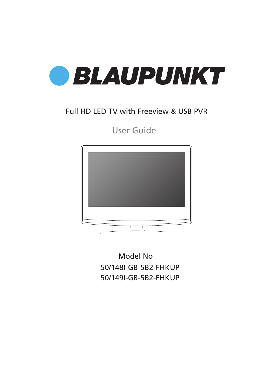

### Full HD LED TV with Freeview & USB PVR

User Guide



50/148I-GB-5B2-FHKUP 50/149I-GB-5B2-FHKUP Model No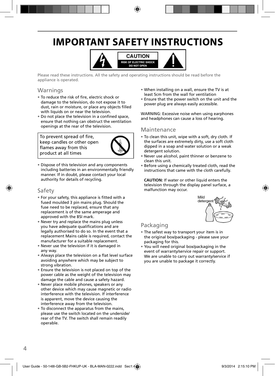## **IMPORTANT SAFETY INSTRUCTIONS**



Please read these instructions. All the safety and operating instructions should be read before the appliance is operated.

### **Warnings**

- To reduce the risk of fire, electric shock or damage to the television, do not expose it to dust, rain or moisture, or place any objects filled with liquids on or near the television.
- Do not place the television in a confined space, ensure that nothing can obstruct the ventilation openings at the rear of the television.

To prevent spread of fire, keep candles or other open flames away from this product at all times



• Dispose of this television and any components including batteries in an environmentally friendly manner. If in doubt, please contact your local authority for details of recycling.

### Safety

- For your safety, this appliance is fitted with a fused moulded 3 pin mains plug. Should the fuse need to be replaced, ensure that any replacement is of the same amperage and approved with the BSI mark.
- Never try and replace the mains plug unless you have adequate qualifications and are legally authorised to do so. In the event that a replacement Mains cable is required, contact the manufacturer for a suitable replacement.
- Never use the television if it is damaged in any way.
- Always place the television on a flat level surface avoiding anywhere which may be subject to strong vibration.
- Ensure the television is not placed on top of the power cable as the weight of the television may damage the cable and cause a safety hazard.
- Never place mobile phones, speakers or any other device which may cause magnetic or radio interference with the television. If interference is apparent, move the device causing the interference away from the television.
- To disconnect the apparatus from the mains, please use the switch located on the underside/ rear of the TV. The switch shall remain readily operable.
- When installing on a wall, ensure the TV is at least 5cm from the wall for ventilation
- Ensure that the power switch on the unit and the power plug are always easily accessible.

WARNING: Excessive noise when using earphones and headphones can cause a loss of hearing.

### **Maintenance**

- To clean this unit, wipe with a soft, dry cloth. If the surfaces are extremely dirty, use a soft cloth dipped in a soap and water solution or a weak detergent solution.
- Never use alcohol, paint thinner or benzene to clean this unit.
- Before using a chemically treated cloth, read the instructions that came with the cloth carefully.

**CAUTION:** If water or other liquid enters the television through the display panel surface, a malfunction may occur.



### Packaging

- The safest way to transport your item is in the original box/packaging - please save your packaging for this.
- You will need original box/packaging in the event of warranty/service repair or support. We are unable to carry out warranty/service if you are unable to package it correctly.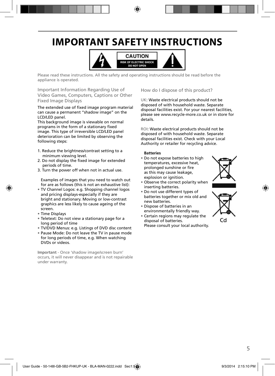## **IMPORTANT SAFETY INSTRUCTIONS**



Please read these instructions. All the safety and operating instructions should be read before the appliance is operated.

Important Information Regarding Use of Video Games, Computers, Captions or Other Fixed Image Displays

The extended use of fixed image program material can cause a permanent "shadow image" on the LCD/LED panel.

This background image is viewable on normal programs in the form of a stationary fixed image. This type of irreversible LCD/LED panel deterioration can be limited by observing the following steps:

- 1. Reduce the brightness/contrast setting to a minimum viewing level.
- 2. Do not display the fixed image for extended periods of time.
- 3. Turn the power off when not in actual use.

Examples of images that you need to watch out for are as follows (this is not an exhaustive list):

- TV Channel Logos: e.g. Shopping channel logos and pricing displays-especially if they are bright and stationary. Moving or low-contrast graphics are less likely to cause ageing of the screen.
- Time Displays
- Teletext: Do not view a stationary page for a long period of time
- TV/DVD Menus: e.g. Listings of DVD disc content
- Pause Mode: Do not leave the TV in pause mode for long periods of time, e.g. When watching DVDs or videos.

**Important** - Once 'shadow image/screen burn' occurs, it will never disappear and is not repairable under warranty.

How do I dispose of this product?

UK: Waste electrical products should not be disposed of with household waste. Separate disposal facilities exist. For your nearest facilities, please see www.recycle-more.co.uk or in store for details.

ROI: Waste electrical products should not be disposed of with household waste. Separate disposal facilities exist. Check with your Local Authority or retailer for recycling advice.

#### **Batteries**

- Do not expose batteries to high temperatures, excessive heat, prolonged sunshine or fire as this may cause leakage, explosion or ignition.
- Observe the correct polarity when inserting batteries.
- Do not use different types of batteries together or mix old and new batteries.
- Dispose of batteries in an environmentally friendly way.
- Certain regions may regulate the disposal of batteries. Please consult your local authority.



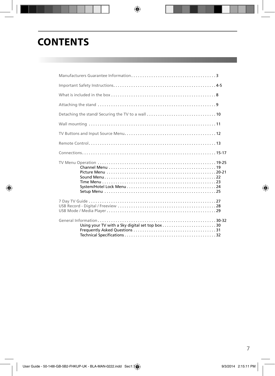## **CONTENTS**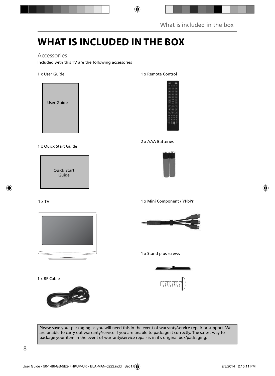## **WHAT IS INCLUDED IN THE BOX**

### Accessories

Included with this TV are the following accessories

#### 1 x User Guide



#### 1 x Quick Start Guide

Quick Start Guide

#### 1 x TV



1 x RF Cable



#### 1 x Remote Control



#### 2 x AAA Batteries



1 x Mini Component / YPbPr



#### 1 x Stand plus screws



Please save your packaging as you will need this in the event of warranty/service repair or support. We are unable to carry out warranty/service if you are unable to package it correctly. The safest way to package your item in the event of warranty/service repair is in it's original box/packaging.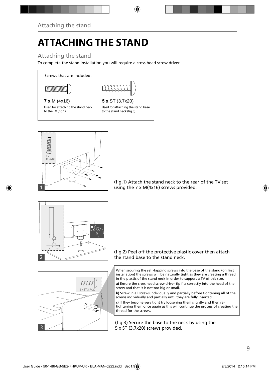# **ATTACHING THE STAND**

### Attaching the stand

To complete the stand installation you will require a cross head screw driver

Screws that are included.





#### **7 x** M (4x16) **5 x** ST (3.7x20)

Used for attaching the stand neck to the TV (fig.1)

Used for attaching the stand base to the stand neck (fig. 3)



(fig.1) Attach the stand neck to the rear of the TV set using the 7 x M(4x16) screws provided.



#### (fig.2) Peel off the protective plastic cover then attach the stand base to the stand neck.

When securing the self-tapping screws into the base of the stand (on first installation) the screws will be naturally tight as they are creating a thread in the plastic of the stand neck in order to support a TV of this size.

a) Ensure the cross head screw driver tip fits correctly into the head of the screw and that it is not too big or small.

**b)** Screw in all screws individually and partially before tightening all of the screws individually and partially until they are fully inserted.

**c)** If they become very tight try loosening them slightly and then retightening them once again as this will continue the process of creating the thread for the screws.

(fig.3) Secure the base to the neck by using the 5 x ST (3.7x20) screws provided.

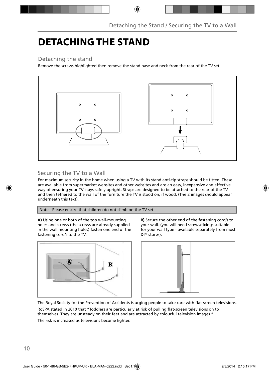## **DETACHING THE STAND**

### Detaching the stand

Remove the screws highlighted then remove the stand base and neck from the rear of the TV set.



### Securing the TV to a Wall

For maximum security in the home when using a TV with its stand anti-tip straps should be fitted. These are available from supermarket websites and other websites and are an easy, inexpensive and effective way of ensuring your TV stays safely upright. Straps are designed to be attached to the rear of the TV and then tethered to the wall of the furniture the TV is stood on, if wood. (The 2 images should appear underneath this text).

### Note - Please ensure that children do not climb on the TV set.

**A)** Using one or both of the top wall-mounting holes and screws (the screws are already supplied in the wall mounting holes) fasten one end of the fastening cord/s to the TV.



**B)** Secure the other end of the fastening cord/s to your wall. (you will need screws/fixings suitable for your wall type - available separately from most DIY stores).



The Royal Society for the Prevention of Accidents is urging people to take care with flat-screen televisions. RoSPA stated in 2010 that "Toddlers are particularly at risk of pulling flat-screen televisions on to themselves. They are unsteady on their feet and are attracted by colourful television images."

The risk is increased as televisions become lighter.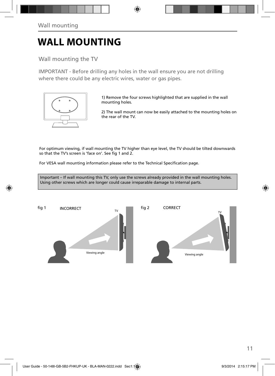## **WALL MOUNTING**

Wall mounting the TV

IMPORTANT - Before drilling any holes in the wall ensure you are not drilling where there could be any electric wires, water or gas pipes.



1) Remove the four screws highlighted that are supplied in the wall mounting holes.

2) The wall mount can now be easily attached to the mounting holes on the rear of the TV.

For optimum viewing, if wall mounting the TV higher than eye level, the TV should be tilted downwards so that the TV's screen is 'face on'. See fig 1 and 2.

For VESA wall mounting information please refer to the Technical Specification page.

Important – If wall mounting this TV, only use the screws already provided in the wall mounting holes. Using other screws which are longer could cause irreparable damage to internal parts.

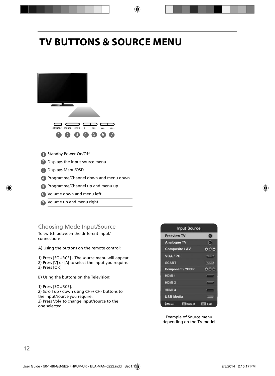## **TV BUTTONS & SOURCE MENU**



- Volume down and menu left 6
- 7 Volume up and menu right

### Choosing Mode Input/Source

To switch between the different input/ connections.

A) Using the buttons on the remote control:

1) Press [SOURCE] - The source menu will appear. 2) Press  $[V]$  or  $[\Lambda]$  to select the input you require.

- 3) Press [OK].
- B) Using the buttons on the Television:

1) Press [SOURCE]. 2) Scroll up / down using CH+/ CH- buttons to the input/source you require. 3) Press Vol+ to change input/source to the one selected.



Example of Source menu depending on the TV model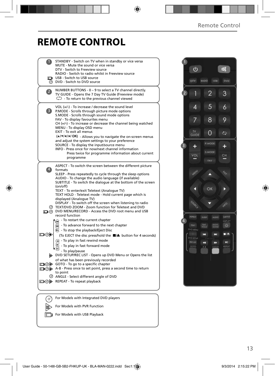### **REMOTE CONTROL**

|                | STANDBY - Switch on TV when in standby or vice versa<br>MUTE - Mute the sound or vice versa<br>DTV - Switch to Freeview source<br>RADIO - Switch to radio whilst in Freeview source                                                                                                                                                                                                                                                                                                                                                                                                                                                       |  |
|----------------|-------------------------------------------------------------------------------------------------------------------------------------------------------------------------------------------------------------------------------------------------------------------------------------------------------------------------------------------------------------------------------------------------------------------------------------------------------------------------------------------------------------------------------------------------------------------------------------------------------------------------------------------|--|
|                | <b>The USB - Switch to USB source</b><br>@ DVD - Switch to DVD source                                                                                                                                                                                                                                                                                                                                                                                                                                                                                                                                                                     |  |
| $\overline{2}$ | NUMBER BUTTONS - 0 - 9 to select a TV channel directly.<br>TV GUIDE - Opens the 7 Day TV Guide (Freeview mode)<br>$\mathbb{C}$ - To return to the previous channel viewed                                                                                                                                                                                                                                                                                                                                                                                                                                                                 |  |
| 3)             | VOL (+/-) - To increase / decrease the sound level<br>P.MODE - Scrolls through picture mode options<br>S.MODE - Scrolls through sound mode options<br>FAV - To display favourites menu<br>$CH (+/-)$ - To increase or decrease the channel being watched<br>MENU - To display OSD menu<br>EXIT - To exit all menus<br>(A/V/4/M/OK) - Allows you to navigate the on-screen menus<br>and adjust the system settings to your preference<br>SOURCE - To display the input/source menu<br>INFO - Press once for now/next channel information<br>Press twice for programme information about current<br>programme                               |  |
| $\ket{4}$      | ASPECT - To switch the screen between the different picture<br>formats<br>SLEEP - Press repeatedly to cycle through the sleep options<br>AUDIO - To change the audio language (if available)<br>SUBTITLE - To switch the dialogue at the bottom of the screen<br>(on/off)<br>TEXT - To enter/exit Teletext (Analogue TV)<br>TEXT HOLD - Teletext mode - Hold current page which is<br>displayed (Analoque TV)<br>DISPLAY - To switch off the screen when listening to radio<br>TEXT/DVD ZOOM - Zoom function for Teletext and DVD<br>O DVD MENU/RECORD - Access the DVD root menu and USB<br>record function                              |  |
| య⊚⊡            | - To restart the current chapter<br>$\widetilde{\mathbf{w}}$ - To advance forward to the next chapter<br><b>B</b> - To stop the playback/Eject Disc<br>(To EJECT the disc press/hold the ■▲ button for 4 seconds)<br>$\left( \widehat{)}$ - To play in fast rewind mode<br>- To play in fast forward mode<br>- To play/pause<br>DVD SETUP/REC LIST - Opens up DVD Menu or Opens the list<br>of what has been previously recorded<br>□ ⊙ iD GOTO - To go to a specific chapter<br>A-B - Press once to set point, press a second time to return<br>to point<br>C ANGLE - Select different angle of DVD<br>□ ⑦ A REPEAT - To repeat playback |  |
|                | For Models with Integrated DVD players                                                                                                                                                                                                                                                                                                                                                                                                                                                                                                                                                                                                    |  |
|                | For Models with PVR Function                                                                                                                                                                                                                                                                                                                                                                                                                                                                                                                                                                                                              |  |

For Models with USB Playback

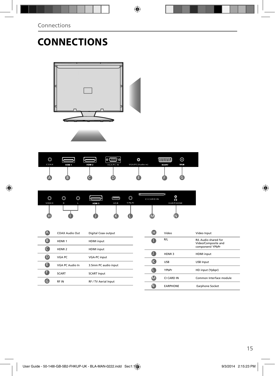# **CONNECTIONS**



| $\circledcirc$<br>COAX | HDM 1 | HDMI <sub>2</sub> | © () © <br><b>VGA/PC IN</b> | O<br>VGA/PC(Audio in) | التقنيتين<br><b>SCART</b> | ⊚<br>RF IN |  |
|------------------------|-------|-------------------|-----------------------------|-----------------------|---------------------------|------------|--|
| A                      | в     |                   |                             |                       |                           |            |  |

| ⌒<br>رب<br>VIDE O | $\circledcirc$<br>R | ⋒<br>v<br>L | HDM 3 | USB | O<br>Y Pb Pr | lш<br><b>CI CARD IN</b> | ٥<br>ค<br><b>EARPHONE</b> |  |
|-------------------|---------------------|-------------|-------|-----|--------------|-------------------------|---------------------------|--|
| 46                |                     |             |       |     |              |                         |                           |  |

|   | COAX Audio Out    | Digital Coax output  |
|---|-------------------|----------------------|
| в | HDMI <sub>1</sub> | <b>HDMI</b> input    |
|   | HDMI <sub>2</sub> | <b>HDMI</b> input    |
| D | VGA PC            | <b>VGA-PC input</b>  |
| н | VGA PC Audio In   | 3.5mm PC audio input |
| Ħ | <b>SCART</b>      | <b>SCART Input</b>   |
|   | <b>RFIN</b>       | RF / TV Aerial Input |
|   |                   |                      |

| н | Video           | Video Input                                                     |
|---|-----------------|-----------------------------------------------------------------|
|   | R/L             | R/L Audio shared for<br>Video/Composite and<br>component/ YPbPr |
|   | HDMI3           | <b>HDMI</b> input                                               |
|   | <b>USB</b>      | <b>USB Input</b>                                                |
|   | YPbPr           | HD input (Ypbpr)                                                |
|   | CI CARD IN      | Common Interface module                                         |
|   | <b>EARPHONE</b> | Earphone Socket                                                 |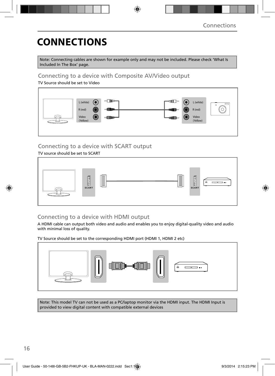## **CONNECTIONS**

Note: Connecting cables are shown for example only and may not be included. Please check 'What Is Included In The Box' page.

### Connecting to a device with Composite AV/Video output

TV Source should be set to Video



### Connecting to a device with SCART output

TV source should be set to SCART



### Connecting to a device with HDMI output

A HDMI cable can output both video and audio and enables you to enjoy digital-quality video and audio with minimal loss of quality.

TV Source should be set to the corresponding HDMI port (HDMI 1, HDMI 2 etc)



Note: This model TV can not be used as a PC/laptop monitor via the HDMI input. The HDMI Input is provided to view digital content with compatible external devices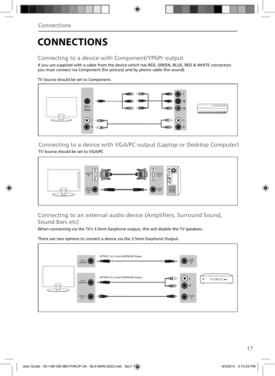## **CONNECTIONS**

### Connecting to a device with Component/YPbPr output

If you are supplied with a cable from the device which has RED, GREEN, BLUE, RED & WHITE connectors you must connect via Component (for picture) and by phono cable (for sound).

TV Source should be set to Component.



Connecting to a device with VGA/PC output (Laptop or Desktop Computer) TV Source should be set to VGA/PC



Connecting to an external audio device (Amplifiers, Surround Sound, Sound Bars etc)

When connecting via the TV's 3.5mm Earphone output, this will disable the TV speakers.

There are two options to connect a device via the 3.5mm Earphone Output.

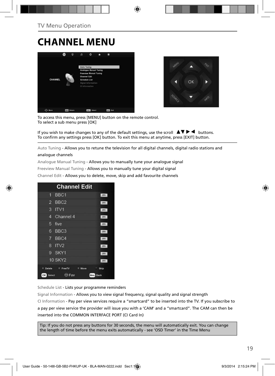## **CHANNEL MENU**





To access this menu, press [MENU] button on the remote control. To select a sub menu press [OK]

If you wish to make changes to any of the default settings, use the scroll  $\blacktriangle \blacktriangledown \blacktriangleright \blacktriangleleft$  buttons. To confirm any settings press [OK] button. To exit this menu at anytime, press [EXIT] button.

Auto Tuning - Allows you to retune the television for all digital channels, digital radio stations and

#### analogue channels

Analogue Manual Tuning - Allows you to manually tune your analogue signal

Freeview Manual Tuning - Allows you to manually tune your digital signal

Channel Edit - Allows you to delete, move, skip and add favourite channels

|                | <b>Channel Edit</b>                      |              |
|----------------|------------------------------------------|--------------|
| 1              | BBC1                                     | otv          |
| $\overline{2}$ | BBC <sub>2</sub>                         | ony          |
| 3              | ITV1                                     | orv          |
| 4              | Channel 4                                | otv          |
| 5              | five                                     | <b>DIV</b>   |
| 6              | BBC <sub>3</sub>                         | ony          |
| $\overline{7}$ | BBC4                                     | otv          |
| 8              | ITV2                                     | otv          |
| 9              | SKY1                                     | onv          |
|                | <b>10 SKY2</b>                           | <b>OTV</b>   |
| Delete         | <sup>n</sup> FreeTV<br>$\bullet$<br>Move | Skip         |
| OK<br>Select   | ⊕ Fav                                    | Menu<br>Back |

Schedule List - Lists your programme reminders

Signal Information - Allows you to view signal frequency, signal quality and signal strength CI Information - Pay per view services require a "smartcard" to be inserted into the TV. If you subscribe to a pay per view service the provider will issue you with a 'CAM' and a "smartcard". The CAM can then be inserted into the COMMON INTERFACE PORT (CI Card In)

Tip: If you do not press any buttons for 30 seconds, the menu will automatically exit. You can change the length of time before the menu exits automatically - see 'OSD Timer' in the Time Menu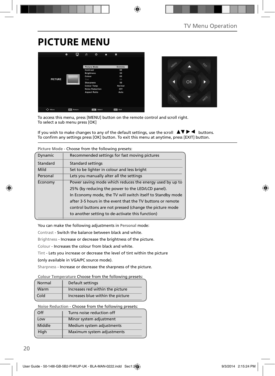## **PICTURE MENU**

|                | ۵<br>۰ | n                 | $\circ$                | п | ÷               |  |
|----------------|--------|-------------------|------------------------|---|-----------------|--|
|                |        |                   | Picture Mode           |   | Economy         |  |
|                |        | Contrast          |                        |   | 60              |  |
|                |        | <b>Brightness</b> |                        |   | 50              |  |
|                |        | Colour            |                        |   | 60              |  |
| <b>PICTURE</b> |        | Tint              |                        |   | 50              |  |
|                |        | <b>Sharpness</b>  |                        |   | 50              |  |
|                |        |                   | <b>Colour Temp</b>     |   | Normal          |  |
|                |        |                   | <b>Noise Reduction</b> |   | Off             |  |
|                |        |                   | <b>Aspect Ratio</b>    |   | Auto            |  |
|                |        |                   |                        |   |                 |  |
| C> Move        | Return |                   | Select<br>OK           |   | <b>COT Exit</b> |  |



To access this menu, press [MENU] button on the remote control and scroll right. To select a sub menu press [OK]

If you wish to make changes to any of the default settings, use the scroll  $\blacktriangle \blacktriangledown \blacktriangleright \blacktriangleleft$  buttons. To confirm any settings press [OK] button. To exit this menu at anytime, press [EXIT] button.

|          | CHOOSE HOTH LITE TOHOWING DI ESCLIS.                       |
|----------|------------------------------------------------------------|
| Dynamic  | Recommended settings for fast moving pictures              |
| Standard | <b>Standard settings</b>                                   |
| Mild     | Set to be lighter in colour and less bright                |
| Personal | Lets you manually alter all the settings                   |
| Economy  | Power saving mode which reduces the energy used by up to   |
|          | 25% (by reducing the power to the LED/LCD panel).          |
|          | In Economy mode, the TV will switch itself to Standby mode |
|          | after 3-5 hours in the event that the TV buttons or remote |
|          | control buttons are not pressed (change the picture mode   |
|          | to another setting to de-activate this function)           |

**Picture Mode** - Choose from the following presets:

You can make the following adjustments in **Personal** mode:

Contrast - Switch the balance between black and white.

Brightness - Increase or decrease the brightness of the picture.

Colour - Increases the colour from black and white.

Tint - Lets you increase or decrease the level of tint within the picture

(only available in VGA/PC source mode).

Sharpness - Increase or decrease the sharpness of the picture.

#### **Colour Temperature** Choose from the following presets:

| Normal | Default settings                  |
|--------|-----------------------------------|
| Warm   | Increases red within the picture  |
| Cold   | Increases blue within the picture |

**Noise Reduction** - Choose from the following presets:

| Off    | Turns noise reduction off  |
|--------|----------------------------|
| Low    | Minor system adjustment    |
| Middle | Medium system adjustments  |
| High   | Maximum system adjustments |
|        |                            |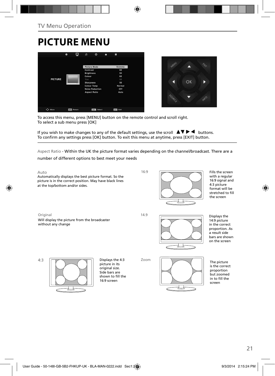## **PICTURE MENU**





To access this menu, press [MENU] button on the remote control and scroll right. To select a sub menu press [OK]

If you wish to make changes to any of the default settings, use the scroll  $\blacktriangle \blacktriangledown \blacktriangleright \blacktriangleleft$  buttons. To confirm any settings press [OK] button. To exit this menu at anytime, press [EXIT] button.

Aspect Ratio - Within the UK the picture format varies depending on the channel/broadcast. There are a

number of different options to best meet your needs

4:3



Fills the screen with a regular 16:9 signal and 4:3 picture format will be stretched to fill the screen

Displays the 14:9 picture in the correct proportion. As a result side bars are shown on the screen



The picture is the correct proportion but zoomed in to fill the screen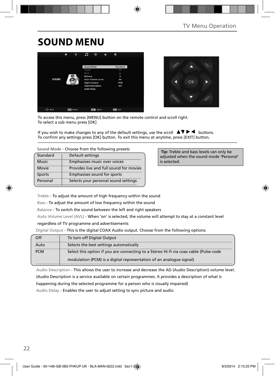## **SOUND MENU**





To access this menu, press [MENU] button on the remote control and scroll right. To select a sub menu press [OK]

If you wish to make changes to any of the default settings, use the scroll  $\Box \blacktriangledown \blacktriangleright \blacktriangleleft$  buttons. To confirm any settings press [OK] button. To exit this menu at anytime, press [EXIT] button.

| Standard     | Default settings                        |  |  |
|--------------|-----------------------------------------|--|--|
| <b>Music</b> | Emphasises music over voices            |  |  |
| Movie        | Provides live and full sound for movies |  |  |
| Sports       | Emphasises sound for sports             |  |  |
| Personal     | Selects your personal sound settings    |  |  |

 **Tip:** Treble and bass levels can only be adjusted when the sound mode 'Personal' is selected.

Treble - To adjust the amount of high frequency within the sound

Bass - To adjust the amount of low frequency within the sound

Balance - To switch the sound between the left and right speakers

Auto Volume Level (AVL) - When 'on' is selected, the volume will attempt to stay at a constant level

regardless of TV programme and advertisements

Digital Output - This is the digital COAX Audio output. Choose from the following options:

| Off        | To turn off Digital Output                                                            |
|------------|---------------------------------------------------------------------------------------|
| Auto       | Selects the best settings automatically                                               |
| <b>PCM</b> | Select this option if you are connecting to a Stereo Hi-fi via coax cable (Pulse-code |
|            | modulation (PCM) is a digital representation of an analogue signal)                   |

Audio Description - This allows the user to increase and decrease the AD (Audio Description) volume level. (Audio Description is a service available on certain programmes. It provides a description of what is

happening during the selected programme for a person who is visually impaired)

Audio Delay - Enables the user to adjust setting to sync picture and audio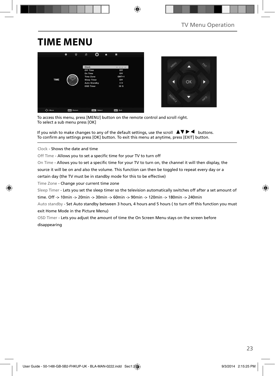## **TIME MENU**





To access this menu, press [MENU] button on the remote control and scroll right. To select a sub menu press [OK]

If you wish to make changes to any of the default settings, use the scroll  $\blacktriangle \blacktriangledown \blacktriangleright \blacktriangleleft$  buttons. To confirm any settings press [OK] button. To exit this menu at anytime, press [EXIT] button.

Clock - Shows the date and time

Off Time - Allows you to set a specific time for your TV to turn off

On Time - Allows you to set a specific time for your TV to turn on, the channel it will then display, the

source it will be on and also the volume. This function can then be toggled to repeat every day or a

certain day (the TV must be in standby mode for this to be effective)

Time Zone - Change your current time zone

Sleep Timer - Lets you set the sleep timer so the television automatically switches off after a set amount of

time. Off -> 10min -> 20min -> 30min -> 60min -> 90min -> 120min -> 180min -> 240min

Auto standby - Set Auto standby between 3 hours, 4 hours and 5 hours ( to turn off this function you must exit Home Mode in the Picture Menu)

OSD Timer - Lets you adjust the amount of time the On Screen Menu stays on the screen before disappearing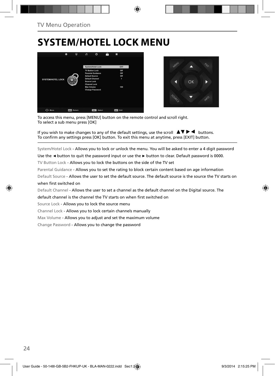## **SYSTEM/HOTEL LOCK MENU**





To access this menu, press [MENU] button on the remote control and scroll right. To select a sub menu press [OK]

If you wish to make changes to any of the default settings, use the scroll  $\Box \Box \blacktriangleright \blacktriangleleft$  buttons. To confirm any settings press [OK] button. To exit this menu at anytime, press [EXIT] button.

System/Hotel Lock - Allows you to lock or unlock the menu. You will be asked to enter a 4 digit password

Use the **◄** button to quit the password input or use the **►** button to clear. Default password is 0000.

TV Button Lock - Allows you to lock the buttons on the side of the TV set

Parental Guidance - Allows you to set the rating to block certain content based on age information

Default Source - Allows the user to set the default source. The default source is the source the TV starts on when first switched on

Default Channel - Allows the user to set a channel as the default channel on the Digital source. The

default channel is the channel the TV starts on when first switched on

Source Lock - Allows you to lock the source menu

Channel Lock - Allows you to lock certain channels manually

Max Volume - Allows you to adjust and set the maximum volume

Change Password - Allows you to change the password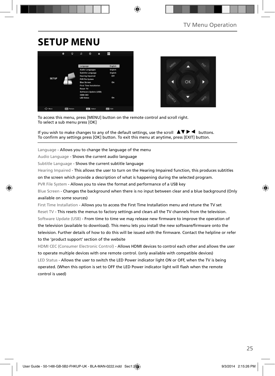## **SETUP MENU**





To access this menu, press [MENU] button on the remote control and scroll right. To select a sub menu press [OK]

If you wish to make changes to any of the default settings, use the scroll  $\Box \blacktriangledown \blacktriangleright \blacktriangleleft$  buttons. To confirm any settings press [OK] button. To exit this menu at anytime, press [EXIT] button.

Language - Allows you to change the language of the menu

Audio Language - Shows the current audio language

Subtitle Language - Shows the current subtitle language

Hearing Impaired - This allows the user to turn on the Hearing Impaired function, this produces subtitles

on the screen which provide a description of what is happening during the selected program.

PVR File System - Allows you to view the format and performance of a USB key

Blue Screen - Changes the background when there is no input between clear and a blue background (Only available on some sources)

First Time Installation - Allows you to access the First Time Installation menu and retune the TV set Reset TV - This resets the menus to factory settings and clears all the TV channels from the television. Software Update (USB) - From time to time we may release new firmware to improve the operation of the television (available to download). This menu lets you install the new software/firmware onto the television. Further details of how to do this will be issued with the firmware. Contact the helpline or refer to the 'product support' section of the website

HDMI CEC (Consumer Electronic Control) - Allows HDMI devices to control each other and allows the user to operate multiple devices with one remote control. (only available with compatible devices) LED Status - Allows the user to switch the LED Power indicator light ON or OFF, when the TV is being operated. (When this option is set to OFF the LED Power indicator light will flash when the remote control is used)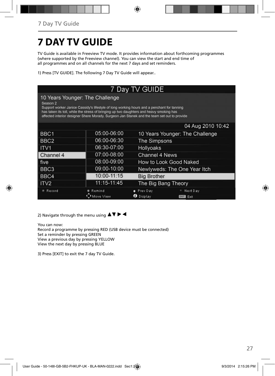## **7 DAY TV GUIDE**

TV Guide is available in Freeview TV mode. It provides information about forthcoming programmes (where supported by the Freeview channel). You can view the start and end time of all programmes and on all channels for the next 7 days and set reminders.

1) Press [TV GUIDE]. The following 7 Day TV Guide will appear..

| 7 Day TV GUIDE                                                                                                                                                                                                                                                                                                                                 |                     |                                                        |  |  |  |
|------------------------------------------------------------------------------------------------------------------------------------------------------------------------------------------------------------------------------------------------------------------------------------------------------------------------------------------------|---------------------|--------------------------------------------------------|--|--|--|
| 10 Years Younger: The Challenge<br>Season <sub>2</sub><br>Support worker Janice Cassidy's lifestyle of long working hours and a penchant for tanning<br>has taken its toll, while the stress of bringing up two daughters and heavy smoking has<br>affected interior designer Shere Morady. Surgeon Jan Stanek and the team set out to provide |                     |                                                        |  |  |  |
|                                                                                                                                                                                                                                                                                                                                                |                     | 04 Aug 2010 10:42                                      |  |  |  |
| BBC <sub>1</sub>                                                                                                                                                                                                                                                                                                                               | 05:00-06:00         | 10 Years Younger: The Challenge                        |  |  |  |
| BBC <sub>2</sub>                                                                                                                                                                                                                                                                                                                               | 06:00-06:30         | <b>The Simpsons</b>                                    |  |  |  |
| ITV <sub>1</sub>                                                                                                                                                                                                                                                                                                                               | 06:30-07:00         | <b>Hollyoaks</b>                                       |  |  |  |
| Channel 4                                                                                                                                                                                                                                                                                                                                      | 07:00-08:00         | Channel 4 News                                         |  |  |  |
| five                                                                                                                                                                                                                                                                                                                                           | 08:00-09:00         | How to Look Good Naked                                 |  |  |  |
| BBC <sub>3</sub>                                                                                                                                                                                                                                                                                                                               | 09:00-10:00         | Newlyweds: The One Year Itch                           |  |  |  |
| BBC4                                                                                                                                                                                                                                                                                                                                           | 10:00-11:15         | <b>Big Brother</b>                                     |  |  |  |
| ITV <sub>2</sub>                                                                                                                                                                                                                                                                                                                               | 11:15-11:45         | The Big Bang Theory                                    |  |  |  |
| * Record                                                                                                                                                                                                                                                                                                                                       | Remind<br>love View | Next Day<br>Prev Day<br>Display<br><b>EXIT</b><br>Exit |  |  |  |

2) Navigate through the menu using  $\blacktriangle \blacktriangledown \blacktriangleright \blacktriangleleft$ 

You can now: Record a programme by pressing RED (USB device must be connected) Set a reminder by pressing GREEN View a previous day by pressing YELLOW View the next day by pressing BLUE

3) Press [EXIT] to exit the 7 day TV Guide.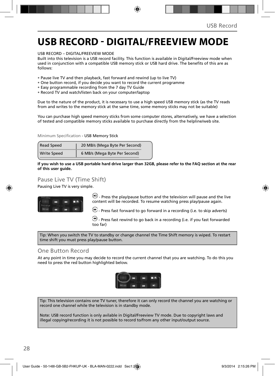### **USB RECORD - DIGITAL/FREEVIEW MODE**

USB RECORD – DIGITAL/FREEVIEW MODE

Built into this television is a USB record facility. This function is available in Digital/Freeview mode when used in conjunction with a compatible USB memory stick or USB hard drive. The benefits of this are as follows:

- Pause live TV and then playback, fast forward and rewind (up to live TV)
- One button record, if you decide you want to record the current programme
- Easy programmable recording from the 7 day TV Guide
- Record TV and watch/listen back on your computer/laptop

Due to the nature of the product, it is necessary to use a high speed USB memory stick (as the TV reads from and writes to the memory stick at the same time, some memory sticks may not be suitable)

You can purchase high speed memory sticks from some computer stores, alternatively, we have a selection of tested and compatible memory sticks available to purchase directly from the helpline/web site.

Minimum Specification - USB Memory Stick

| Read Speed         | 20 MB/s (Mega Byte Per Second) |  |
|--------------------|--------------------------------|--|
| <b>Write Speed</b> | 6 MB/s (Mega Byte Per Second)  |  |

**If you wish to use a USB portable hard drive larger than 32GB, please refer to the FAQ section at the rear of this user guide.**

### Pause Live TV (Time Shift)

Pausing Live TV is very simple.



 $\Box$  Press the play/pause button and the television will pause and the live content will be recorded. To resume watching press play/pause again.

 $\bigoplus$  - Press fast forward to go forward in a recording (i.e. to skip adverts)

 $\bigcirc$  - Press fast rewind to go back in a recording (i.e. if you fast forwarded too far)

Tip: When you switch the TV to standby or change channel the Time Shift memory is wiped. To restart time shift you must press play/pause button.

### One Button Record

At any point in time you may decide to record the current channel that you are watching. To do this you need to press the red button highlighted below.



Tip: This television contains one TV tuner, therefore it can only record the channel you are watching or record one channel while the television is in standby mode.

Note: USB record function is only avilable in Digital/Freeview TV mode. Due to copyright laws and illegal copying/recording it is not possible to record to/from any other input/output source.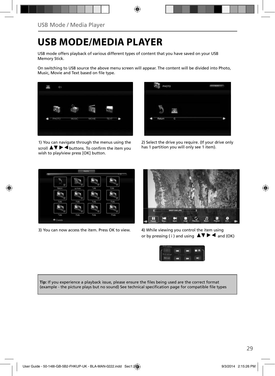### **USB MODE/MEDIA PLAYER**

USB mode offers playback of various different types of content that you have saved on your USB Memory Stick.

On switching to USB source the above menu screen will appear. The content will be divided into Photo, Music, Movie and Text based on file type.



1) You can navigate through the menus using the  $\overline{\mathsf{S}\mathsf{c}}$  scroll  $\blacktriangle \blacktriangledown \blacktriangleright \overline{\blacktriangleleft}$  buttons. To confirm the item you wish to play/view press [OK] button.



2) Select the drive you require. (If your drive only has 1 partition you will only see 1 item).



3) You can now access the item. Press OK to view. 4) While viewing you control the item using



or by pressing (i) and using  $\Delta \nabla \blacktriangleright$   $\blacktriangleleft$  and (OK)



Tip: If you experience a playback issue, please ensure the files being used are the correct format (example - the picture plays but no sound) See technical specification page for compatible file types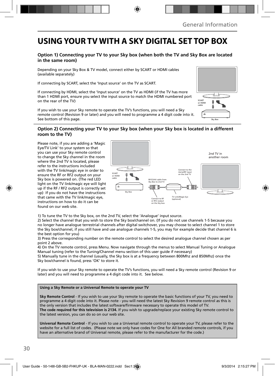### **USING YOUR TV WITH A SKY DIGITAL SET TOP BOX**

### **Option 1) Connecting your TV to your Sky box (when both the TV and Sky Box are located in the same room)**

Depending on your Sky Box & TV model, connect either by SCART or HDMI cables (available separately)

If connecting by SCART, select the 'Input source' on the TV as SCART.

If connecting by HDMI, select the 'Input source' on the TV as HDMI (if the TV has more than 1 HDMI port, ensure you select the input source to match the HDMI numbered port on the rear of the TV)

If you wish to use your Sky remote to operate the TV's functions, you will need a Sky remote control (Revision 9 or later) and you will need to programme a 4 digit code into it. See bottom of this page.

### **Option 2) Connecting your TV to your Sky box (when your Sky box is located in a different room to the TV)**  Sky Box

Please note, if you are adding a 'Magic Eve/TV Link' to your system so that you can use your Sky remote control to change the Sky channel in the room where the 2nd TV is located, please refer to the instructions included with the TV link/magic eye in order to ensure the RF or RF2 output on your Sky box is powered on. (The red LED light on the TV link/magic eye will light up if the RF / RF2 output is correctly set up) If you do not have the instructions that came with the TV link/magic eye, instructions on how to do it can be found on our web site.



1) To tune the TV to the Sky box, on the 2nd TV, select the 'Analogue' input source.

2) Select the channel that you wish to store the Sky box/channel on. (If you do not use channels 1-5 because you no longer have analogue terrestrial channels after digital switchover, you may choose to select channel 1 to store the Sky box/channel, if you still have and use analogue channels 1-5, you may for example decide that channel 6 is the best option for you)

3) Press the corresponding number on the remote control to select the desired analogue channel chosen as per point 2 above.

4) On the TV remote control, press Menu. Now navigate through the menus to select Manual Tuning or Analogue Manual tuning (refer to the Tuning/Channel menu section of this user guide if necessary)

5) Manually tune in the channel (usually, the Sky box is at a frequency between 800Mhz and 850Mhz) once the Sky box/channel is found, press 'OK' to store it.

If you wish to use your Sky remote to operate the TV's functions, you will need a Sky remote control (Revision 9 or later) and you will need to programme a 4 digit code into it. See below.

#### **Using a Sky Remote or a Universal Remote to operate your TV**

**Sky Remote Control** - If you wish to use your Sky remote to operate the basic functions of your TV, you need to programme a 4 digit code into it. Please note - you will need the latest Sky Revision 9 remote control as this is the only version that includes the latest software/firmware necessary to operate this model of TV. **The code required for this television is 2134.** If you wish to upgrade/replace your existing Sky remote control to the latest version, you can do so on our web site.

**Universal Remote Control** - If you wish to use a Universal remote control to operate your TV, please refer to the website for a full list of codes. (Please note we only have codes for One for All branded remote controls, if you have an alternative brand of Universal remote, please refer to the manufacturer for the code.)

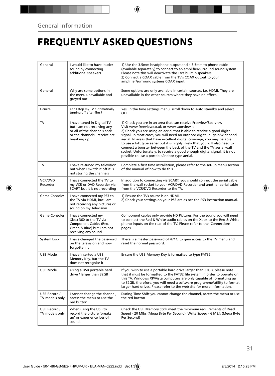## **FREQUENTLY ASKED QUESTIONS**

| General                        | I would like to have louder<br>sound by connecting<br>additional speakers                                                               | 1) Use the 3.5mm headphone output and a 3.5mm to phono cable<br>(available separately) to connect to an amplifier/surround sound system.<br>Please note this will deactivate the TV's built in speakers.<br>2) Connect a COAX cable from the TV's COAX output to your<br>amplifier/surround systems COAX input.                                                                                                                                                                                                                                                                                                                      |  |
|--------------------------------|-----------------------------------------------------------------------------------------------------------------------------------------|--------------------------------------------------------------------------------------------------------------------------------------------------------------------------------------------------------------------------------------------------------------------------------------------------------------------------------------------------------------------------------------------------------------------------------------------------------------------------------------------------------------------------------------------------------------------------------------------------------------------------------------|--|
| General                        | Why are some options in<br>the menu unavailable and<br>greyed out                                                                       | Some options are only available in certain sources, i.e. HDMI. They are<br>unavailable in the other sources where they have no affect.                                                                                                                                                                                                                                                                                                                                                                                                                                                                                               |  |
| General                        | Can I stop my TV automatically<br>turning off after 4hrs?                                                                               | Yes, in the time settings menu, scroll down to Auto standby and select<br>OFF.                                                                                                                                                                                                                                                                                                                                                                                                                                                                                                                                                       |  |
| TV                             | I have tuned in Digital TV<br>but I am not receiving any<br>or all of the channels and/<br>or the channels I receive are<br>breaking up | 1) Check you are in an area that can receive Freeview/Saorview<br>Visit www.freeview.co.uk or www.saorview.ie<br>2) Check you are using an aerial that is able to receive a good digital<br>signal. In most cases, you will need an outdoor digital hi-gain/wideband<br>aerial. In areas that have excellent digital coverage, you may be able<br>to use a loft type aerial but it is highly likely that you will also need to<br>connect a booster between the back of the TV and the TV aerial wall<br>socket. Unfortunately, to receive a good enough digital signal, it is not<br>possible to use a portable/indoor type aerial. |  |
| TV                             | I have re-tuned my television<br>but when I switch it off it is<br>not storing the channels                                             | Complete a first time installation, please refer to the set-up menu section<br>of the manual of how to do this.                                                                                                                                                                                                                                                                                                                                                                                                                                                                                                                      |  |
| <b>VCR/DVD</b><br>Recorder     | I have connected the TV to<br>my VCR or DVD Recorder via<br>SCART but it is not recording                                               | In addition to connecting via SCART, you should connect the aerial cable<br>from the wall socket to your VCR/DVD Recorder and another aerial cable<br>from the VCR/DVD Recorder to the TV.                                                                                                                                                                                                                                                                                                                                                                                                                                           |  |
| Game Consoles                  | I have connected my PS3 to<br>the TV via HDMI, but I am<br>not receiving any pictures or<br>sound on my Television                      | 1) Ensure the TVs source is on HDMI.<br>2) Check your settings on your PS3 are as per the PS3 instruction manual.                                                                                                                                                                                                                                                                                                                                                                                                                                                                                                                    |  |
| Game Consoles                  | I have connected my<br>Xbox 360 to the TV via<br>Component Cables (Red,<br>Green & Blue) but I am not<br>receiving any sound            | Component cables only provide HD Pictures. For the sound you will need<br>to connect the Red & White audio cables on the Xbox to the Red & White<br>phono inputs on the rear of the TV. Please refer to the 'Connections'<br>pages.                                                                                                                                                                                                                                                                                                                                                                                                  |  |
| System Lock                    | I have changed the password<br>on the television and now<br>forgotten it                                                                | There is a master password of 4711, to gain access to the TV menu and<br>reset the normal password.                                                                                                                                                                                                                                                                                                                                                                                                                                                                                                                                  |  |
| <b>USB Mode</b>                | I have inserted a USB<br>Memory Key, but the TV<br>does not recognise it                                                                | Ensure the USB Memory Key is formatted to type FAT32.                                                                                                                                                                                                                                                                                                                                                                                                                                                                                                                                                                                |  |
| <b>USB Mode</b>                | Using a USB portable hard<br>drive / larger than 32GB                                                                                   | If you wish to use a portable hard drive larger than 32GB, please note<br>that it must be formatted to the FAT32 file system in order to operate on<br>this TV. Windows XP/Vista computers are only capable of formatting up<br>to 32GB, therefore, you will need a software programme/utility to format<br>larger hard drives. Please refer to the web site for more information.                                                                                                                                                                                                                                                   |  |
| USB Record /<br>TV models only | I cannot change the channel,<br>access the menu or use the<br>red button                                                                | During Time Shift you cannot change the channel, access the menu or use<br>the red button                                                                                                                                                                                                                                                                                                                                                                                                                                                                                                                                            |  |
| USB Record /<br>TV models only | When using the USB to<br>record the picture 'breaks<br>up' or experience loss of<br>sound.                                              | Check the USB Memory Stick meet the minimum requirements of Read<br>Speed - 20 MB/s (Mega Byte Per Second), Write Speed - 6 MB/s (Mega Byte<br>Per Second)                                                                                                                                                                                                                                                                                                                                                                                                                                                                           |  |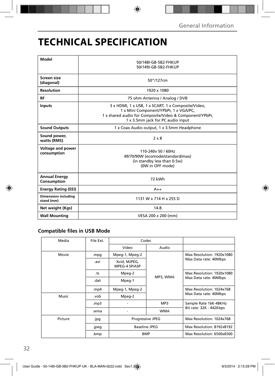## **TECHNICAL SPECIFICATION**

| Model                                     |                                                         |  |  |  |
|-------------------------------------------|---------------------------------------------------------|--|--|--|
|                                           | 50/148I-GB-5B2-FHKUP<br>50/149I-GB-5B2-FHKUP            |  |  |  |
|                                           |                                                         |  |  |  |
| Screen size                               | 50"/127cm                                               |  |  |  |
| (diagonal)                                |                                                         |  |  |  |
| <b>Resolution</b>                         | 1920 x 1080                                             |  |  |  |
| <b>RF</b>                                 | 75 ohm Antenna / Analog / DVB                           |  |  |  |
| <b>Inputs</b>                             | 3 x HDMI, 1 x USB, 1 x SCART, 1 x Composite/Video,      |  |  |  |
|                                           | 1 x Mini Component/YPbPr, 1 x VGA/PC,                   |  |  |  |
|                                           | 1 x shared audio for Composite/Video & Component/YPbPr, |  |  |  |
|                                           | 1 x 3.5mm jack for PC audio input                       |  |  |  |
| <b>Sound Outputs</b>                      | 1 x Coax Audio output, 1 x 3.5mm Headphone              |  |  |  |
| Sound power,<br>watts (RMS)               | $2 \times 8$                                            |  |  |  |
| Voltage and power                         | 110-240y 50 / 60Hz                                      |  |  |  |
| consumption                               |                                                         |  |  |  |
|                                           | 49/70/90W (ecomode/standard/max)                        |  |  |  |
|                                           | (in standby less than 0.5w)                             |  |  |  |
|                                           | (0W in OFF mode)                                        |  |  |  |
| <b>Annual Energy</b>                      | 72 kWh                                                  |  |  |  |
| Consumption                               |                                                         |  |  |  |
| <b>Energy Rating (EEI)</b>                | $A++$                                                   |  |  |  |
| <b>Dimensions including</b><br>stand (mm) | 1131 W x 714 H x 255 D                                  |  |  |  |
| Net weight (Kgs)                          | 14.8                                                    |  |  |  |
| <b>Wall Mounting</b>                      | VESA 200 x 200 (mm)                                     |  |  |  |

### **Compatible files in USB Mode**

| Media   | File Ext.                     | Codec                         |            |                                                    |
|---------|-------------------------------|-------------------------------|------------|----------------------------------------------------|
|         |                               | Video                         | Audio      |                                                    |
| Movie   | .mpg                          | Mpeg-1, Mpeg-2                | MP3, WMA   | Max Resolution: 1920x1080<br>Max Data rate: 40Mbps |
|         | .avi                          | Xvid, MJPEG,<br>MPEG-4 SP/ASP |            |                                                    |
|         | .ts                           | Mpeg-2                        |            | Max Resolution: 1920x1080<br>Max Data rate: 40Mbps |
|         | .dat                          | Mpeg-1                        |            |                                                    |
|         | .mp4                          | Mpeg-1, Mpeg-2                |            | Max Resolution: 1024x768                           |
| Music   | .vob                          | Mpeg-2                        |            | Max Data rate: 40Mbps                              |
|         | mp3.                          |                               | MP3        | Sample Rate 16K-48KHz                              |
|         | .wma                          |                               | <b>WMA</b> | Bit rate: 32K - 442Kbps                            |
| Picture | .jpg                          | Progressive JPEG              |            | Max Resolution: 1024x768                           |
|         | <b>Baseline JPEG</b><br>.jpeg |                               |            | Max Resolution: 8192x8192                          |
|         | .bmp                          | <b>BMP</b>                    |            | Max Resolution: 6500x6500                          |